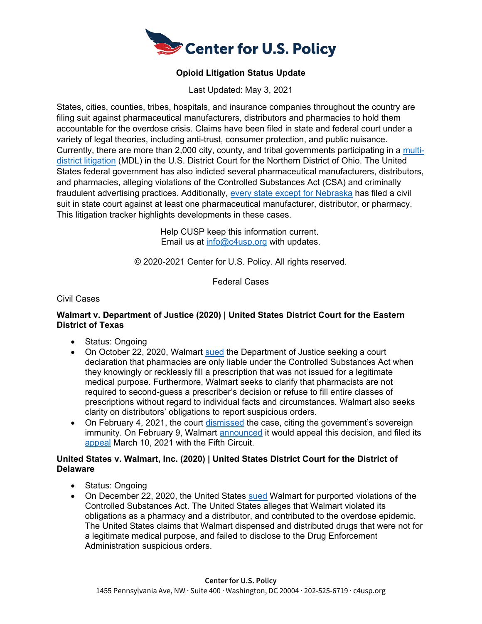

# **Opioid Litigation Status Update**

Last Updated: May 3, 2021

States, cities, counties, tribes, hospitals, and insurance companies throughout the country are filing suit against pharmaceutical manufacturers, distributors and pharmacies to hold them accountable for the overdose crisis. Claims have been filed in state and federal court under a variety of legal theories, including anti-trust, consumer protection, and public nuisance. Currently, there are more than 2,000 city, county, and tribal governments participating in a [multi](http://www.legalexecutiveinstitute.com/opioid-litigation-consolidated/)[district litigation](http://www.legalexecutiveinstitute.com/opioid-litigation-consolidated/) (MDL) in the U.S. District Court for the Northern District of Ohio. The United States federal government has also indicted several pharmaceutical manufacturers, distributors, and pharmacies, alleging violations of the Controlled Substances Act (CSA) and criminally fraudulent advertising practices. Additionally, [every state except for Nebraska](https://apnews.com/2ca3e7d1501643b7aea0feeb2bed3929) has filed a civil suit in state court against at least one pharmaceutical manufacturer, distributor, or pharmacy. This litigation tracker highlights developments in these cases.

> Help CUSP keep this information current. Email us at [info@c4usp.org](mailto:info@c4usp.org) with updates.

© 2020-2021 Center for U.S. Policy. All rights reserved.

Federal Cases

Civil Cases

#### **Walmart v. Department of Justice (2020) | United States District Court for the Eastern District of Texas**

- Status: Ongoing
- On October 22, 2020, Walmart [sued](https://corporate.walmart.com/media-library/document/walmart-v-doj-dea-complaint/_proxyDocument?id=00000175-522e-dbe2-a9fd-7f6e94120000) the Department of Justice seeking a court declaration that pharmacies are only liable under the Controlled Substances Act when they knowingly or recklessly fill a prescription that was not issued for a legitimate medical purpose. Furthermore, Walmart seeks to clarify that pharmacists are not required to second-guess a prescriber's decision or refuse to fill entire classes of prescriptions without regard to individual facts and circumstances. Walmart also seeks clarity on distributors' obligations to report suspicious orders.
- On February 4, 2021, the court [dismissed](https://www.reuters.com/article/walmart-lawsuit-doj-idUSL1N2KB1D9) the case, citing the government's sovereign immunity. On February 9, Walmart [announced](https://www.arkansasonline.com/news/2021/feb/09/walmart-to-appeal-in-opioid-litigation/) it would appeal this decision, and filed its [appeal](https://dockets.justia.com/docket/circuit-courts/ca5/21-40157) March 10, 2021 with the Fifth Circuit.

#### **United States v. Walmart, Inc. (2020) | United States District Court for the District of Delaware**

- Status: Ongoing
- On December 22, 2020, the United States [sued](https://www.justice.gov/opa/press-release/file/1347906/download) Walmart for purported violations of the Controlled Substances Act. The United States alleges that Walmart violated its obligations as a pharmacy and a distributor, and contributed to the overdose epidemic. The United States claims that Walmart dispensed and distributed drugs that were not for a legitimate medical purpose, and failed to disclose to the Drug Enforcement Administration suspicious orders.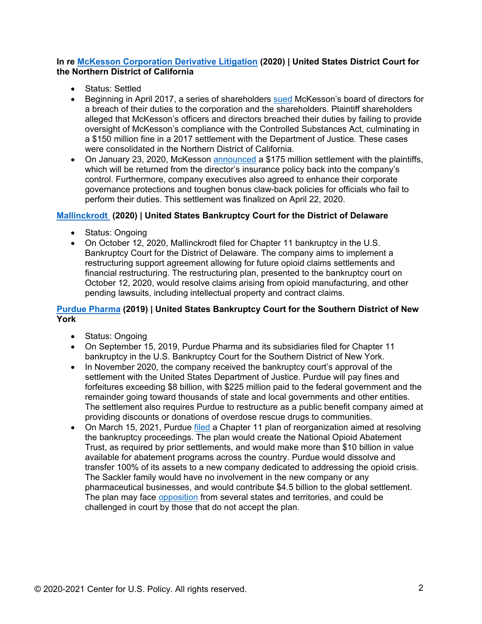### **[In re McKesson Corporation Derivative Litigation](https://www.docketbird.com/court-cases/In-re-McKesson-Corporation-Derivative-Litigation/cand-4:2017-cv-01850) (2020) | United States District Court for the Northern District of California**

- Status: Settled
- Beginning in April 2017, a series of shareholders [sued](http://www.gardylaw.com/newsdetail/gardy-and-notis-llp-achieves-a-historic-175-million-settlement-in-mckesson-corporation-derivative-litigation/) McKesson's board of directors for a breach of their duties to the corporation and the shareholders. Plaintiff shareholders alleged that McKesson's officers and directors breached their duties by failing to provide oversight of McKesson's compliance with the Controlled Substances Act, culminating in a \$150 million fine in a 2017 settlement with the Department of Justice. These cases were consolidated in the Northern District of California.
- On January 23, 2020, McKesson [announced](https://www.bloomberg.com/news/articles/2020-01-23/mckesson-agrees-to-175-million-settlement-in-opioid-case) a \$175 million settlement with the plaintiffs, which will be returned from the director's insurance policy back into the company's control. Furthermore, company executives also agreed to enhance their corporate governance protections and toughen bonus claw-back policies for officials who fail to perform their duties. This settlement was finalized on April 22, 2020.

## **[Mallinckrodt](https://restructuring.primeclerk.com/Mallinckrodt/Home-DocketInfo) (2020) | United States Bankruptcy Court for the District of Delaware**

- Status: Ongoing
- On October 12, 2020, Mallinckrodt filed for Chapter 11 bankruptcy in the U.S. Bankruptcy Court for the District of Delaware. The company aims to implement a restructuring support agreement allowing for future opioid claims settlements and financial restructuring. The restructuring plan, presented to the bankruptcy court on October 12, 2020, would resolve claims arising from opioid manufacturing, and other pending lawsuits, including intellectual property and contract claims.

#### **[Purdue Pharma](https://restructuring.primeclerk.com/purduepharma/Home-DocketInfo) (2019) | United States Bankruptcy Court for the Southern District of New York**

- Status: Ongoing
- On September 15, 2019, Purdue Pharma and its subsidiaries filed for Chapter 11 bankruptcy in the U.S. Bankruptcy Court for the Southern District of New York.
- In November 2020, the company received the bankruptcy court's approval of the settlement with the United States Department of Justice. Purdue will pay fines and forfeitures exceeding \$8 billion, with \$225 million paid to the federal government and the remainder going toward thousands of state and local governments and other entities. The settlement also requires Purdue to restructure as a public benefit company aimed at providing discounts or donations of overdose rescue drugs to communities.
- On March 15, 2021, Purdue [filed](https://www.purduepharma.com/news/2021/03/16/purdue-pharma-l-p-files-broadly-supported-plan-of-reorganization/) a Chapter 11 plan of reorganization aimed at resolving the bankruptcy proceedings. The plan would create the National Opioid Abatement Trust, as required by prior settlements, and would make more than \$10 billion in value available for abatement programs across the country. Purdue would dissolve and transfer 100% of its assets to a new company dedicated to addressing the opioid crisis. The Sackler family would have no involvement in the new company or any pharmaceutical businesses, and would contribute \$4.5 billion to the global settlement. The plan may face [opposition](https://www.forbes.com/sites/siladityaray/2021/03/16/purdue-pharma-owners-offer-428-billion-to-settle-opioid-lawsuits-as-part-of-drugmakers-restructuring-plan/?sh=7b8c58260393) from several states and territories, and could be challenged in court by those that do not accept the plan.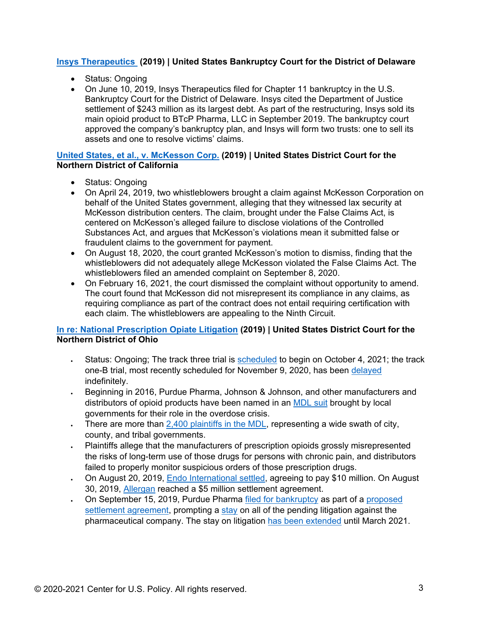### **Insys [Therapeutics](https://dm.epiq11.com/case/insys/dockets) (2019) | United States Bankruptcy Court for the District of Delaware**

- Status: Ongoing
- On June 10, 2019, Insys Therapeutics filed for Chapter 11 bankruptcy in the U.S. Bankruptcy Court for the District of Delaware. Insys cited the Department of Justice settlement of \$243 million as its largest debt. As part of the restructuring, Insys sold its main opioid product to BTcP Pharma, LLC in September 2019. The bankruptcy court approved the company's bankruptcy plan, and Insys will form two trusts: one to sell its assets and one to resolve victims' claims.

### **[United States, et al., v. McKesson Corp.](https://www.courtlistener.com/docket/16602873/united-states-of-amercia-v-mckesson-corporation/) (2019) | United States District Court for the Northern District of California**

- Status: Ongoing
- On April 24, 2019, two whistleblowers brought a claim against McKesson Corporation on behalf of the United States government, alleging that they witnessed lax security at McKesson distribution centers. The claim, brought under the False Claims Act, is centered on McKesson's alleged failure to disclose violations of the Controlled Substances Act, and argues that McKesson's violations mean it submitted false or fraudulent claims to the government for payment.
- On August 18, 2020, the court granted McKesson's motion to dismiss, finding that the whistleblowers did not adequately allege McKesson violated the False Claims Act. The whistleblowers filed an amended complaint on September 8, 2020.
- On February 16, 2021, the court dismissed the complaint without opportunity to amend. The court found that McKesson did not misrepresent its compliance in any claims, as requiring compliance as part of the contract does not entail requiring certification with each claim. The whistleblowers are appealing to the Ninth Circuit.

# **[In re: National Prescription Opiate Litigation](https://www.ohnd.uscourts.gov/mdl-2804) (2019) | United States District Court for the Northern District of Ohio**

- Status: Ongoing; The track three trial is **[scheduled](https://www.ohnd.uscourts.gov/sites/ohnd/files/3595.pdf)** to begin on October 4, 2021; the track one-B trial, most recently scheduled for November 9, 2020, has been [delayed](https://today.westlaw.com/Document/Ic5f3ea80075a11eb945fa56116b94abe/View/FullText.html?transitionType=SearchItem&contextData=(sc.Default)&num_refreshes=1) indefinitely.
- Beginning in 2016, Purdue Pharma, Johnson & Johnson, and other manufacturers and distributors of opioid products have been named in an [MDL suit](http://www.legalexecutiveinstitute.com/opioid-litigation-consolidated/) brought by local governments for their role in the overdose crisis.
- $\cdot$  There are more than [2,400 plaintiffs in the MDL,](https://www.washingtonpost.com/health/ohio-counties-drug-firms-reach-260m-settlement-averting-trial/2019/10/21/c9ac1dd4-f39f-11e9-ad8b-85e2aa00b5ce_story.html) representing a wide swath of city, county, and tribal governments.
- Plaintiffs allege that the manufacturers of prescription opioids grossly misrepresented the risks of long-term use of those drugs for persons with chronic pain, and distributors failed to properly monitor suspicious orders of those prescription drugs.
- On August 20, 2019, Endo [International settled,](https://www.statnews.com/pharmalot/2019/08/20/endo-opioids-lawsuit-trial-settlement-ohio/) agreeing to pay \$10 million. On August 30, 2019, [Allergan](https://www.allergan.com/news/news/thomson-reuters/allergan-announces-settlement-with-two-ohio-plaint) reached a \$5 million settlement agreement.
- On September 15, 2019, Purdue Pharma [filed for bankruptcy](https://www.statnews.com/2019/09/16/if-purdue-pharma-declares-bankruptcy-what-would-it-mean-for-lawsuits-against-the-opioid-manufacturer/) as part of a [proposed](https://www.wsj.com/articles/purdue-pharma-close-to-settlement-with-cities-and-half-of-states-over-opioid-crisis-11568224310)  [settlement agreement,](https://www.wsj.com/articles/purdue-pharma-close-to-settlement-with-cities-and-half-of-states-over-opioid-crisis-11568224310) prompting a [stay](https://www.reuters.com/article/us-purdue-pharma-bankruptcy/oxycontin-maker-purdue-gets-brief-shield-from-litigation-idUSKBN1WQ1FV) on all of the pending litigation against the pharmaceutical company. The stay on litigation [has been extended](https://www.law360.com/articles/1315263) until March 2021.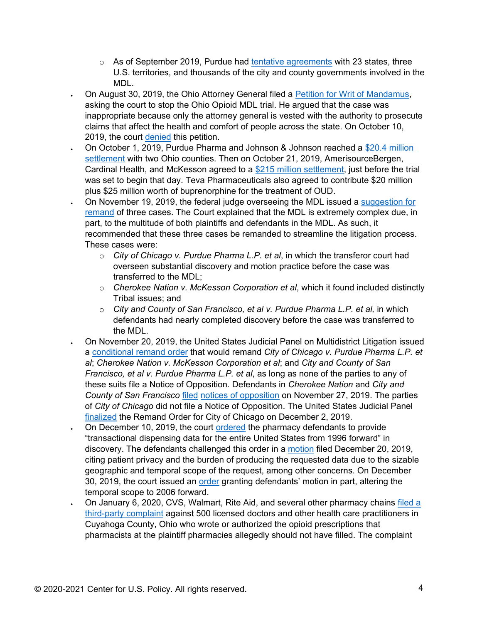- $\circ$  As of September 2019, Purdue had [tentative agreements](https://www.wsj.com/articles/purdue-pharma-close-to-settlement-with-cities-and-half-of-states-over-opioid-crisis-11568224310) with 23 states, three U.S. territories, and thousands of the city and county governments involved in the MDL.
- On August 30, 2019, the Ohio Attorney General filed a [Petition for Writ of Mandamus,](https://static.reuters.com/resources/media/editorial/20190903/opioidsMDL--ohioAGmandamus.pdf) asking the court to stop the Ohio Opioid MDL trial. He argued that the case was inappropriate because only the attorney general is vested with the authority to prosecute claims that affect the health and comfort of people across the state. On October 10, 2019, the court [denied](https://www.dispatch.com/news/20191010/federal-court-denies-yosts-attempt-to-delay-massive-opioid-litigation) this petition.
- On October 1, 2019, Purdue Pharma and Johnson & Johnson reached a [\\$20.4 million](https://www.washingtonpost.com/investigations/johnson-and-johnson-reaches-tentative-204-million-settlement-in-massive-opioid-case/2019/10/01/6a8a9670-e48e-11e9-b403-f738899982d2_story.html)  [settlement](https://www.washingtonpost.com/investigations/johnson-and-johnson-reaches-tentative-204-million-settlement-in-massive-opioid-case/2019/10/01/6a8a9670-e48e-11e9-b403-f738899982d2_story.html) with two Ohio counties. Then on October 21, 2019, AmerisourceBergen, Cardinal Health, and McKesson agreed to a [\\$215 million settlement,](https://apnews.com/c428bb2ba4cd4cc6a59f8dbe79e18d9f?utm_medium=AP&utm_campaign=SocialFlow&utm_source=Twitter) just before the trial was set to begin that day. Teva Pharmaceuticals also agreed to contribute \$20 million plus \$25 million worth of buprenorphine for the treatment of OUD.
- On November 19, 2019, the federal judge overseeing the MDL issued a [suggestion for](https://www.ohnd.uscourts.gov/sites/ohnd/files/2941.pdf)  [remand](https://www.ohnd.uscourts.gov/sites/ohnd/files/2941.pdf) of three cases. The Court explained that the MDL is extremely complex due, in part, to the multitude of both plaintiffs and defendants in the MDL. As such, it recommended that these three cases be remanded to streamline the litigation process. These cases were:
	- o *City of Chicago v. Purdue Pharma L.P. et al*, in which the transferor court had overseen substantial discovery and motion practice before the case was transferred to the MDL;
	- o *Cherokee Nation v. McKesson Corporation et al*, which it found included distinctly Tribal issues; and
	- o *City and County of San Francisco, et al v. Purdue Pharma L.P. et al,* in which defendants had nearly completed discovery before the case was transferred to the MDL.
- On November 20, 2019, the United States Judicial Panel on Multidistrict Litigation issued a [conditional remand order](https://www.docketbird.com/court-documents/In-re-National-Prescription-Opiate-Litigation/CONDITIONAL-REMAND-ORDER-FILED-TODAY-3-action-s-re-pldg-5-in-CAN-3-18-cv-07591-26-in-ILN-1-14-cv-04361-6242-in-MDL-No-2804-31-in-OKE-6-18-cv-00056-Signed-by-Clerk-of-the-Panel-John-W-Nichols-on-11-20-2019-Associated-Cases-MDL-No-2804-CAN-3-18-cv-0759/jpml-0:2017-md-02804-06257) that would remand *City of Chicago v. Purdue Pharma L.P. et al*; *Cherokee Nation v. McKesson Corporation et al*; and *City and County of San Francisco, et al v. Purdue Pharma L.P. et al*, as long as none of the parties to any of these suits file a Notice of Opposition. Defendants in *Cherokee Nation* and *City and County of San Francisco* [filed](https://www.docketbird.com/court-documents/In-re-National-Prescription-Opiate-Litigation/NOTICE-OF-OPPOSITION-TO-CONDITIONAL-REMAND-ORDER-2-action-s-re-pldg-6-in-CAN-3-18-cv-07591-6257-in-MDL-No-2804-32-in-OKE-6-18-cv-00056-Filed-by-Defendants-AmerisourceBergen-Corporation-et-al-AmerisourceBergen-Drug-Corporation-Cardinal-Health-Inc-McKe/jpml-0:2017-md-02804-06354) [notices of opposition](https://www.docketbird.com/court-documents/In-re-National-Prescription-Opiate-Litigation/NOTICE-OF-OPPOSITION-TO-CONDITIONAL-REMAND-ORDER-1-action-s-re-pldg-6-in-CAN-3-18-cv-07591-6257-in-MDL-No-2804-Filed-by-Defendants-Janssen-Pharmaceutica-Inc-Johnson-Johnson-Endo-Pharmaceuticals-Inc-Endo-Health-Solutions-Inc-Par-Pharmaceutical-Compani/jpml-0:2017-md-02804-06358) on November 27, 2019. The parties of *City of Chicago* did not file a Notice of Opposition. The United States Judicial Panel [finalized](https://www.docketbird.com/court-documents/In-re-National-Prescription-Opiate-Litigation/CONDITIONAL-REMAND-ORDER-FINALIZED-re-pldg-27-in-ILN-1-14-cv-04361-6257-in-MDL-No-2804-1-action-s-Inasmuch-as-no-objection-is-pending-at-this-time-the-stay-is-lifted-Signed-by-Clerk-of-the-Panel-John-W-Nichols-on-12-2-2019/jpml-0:2017-md-02804-06362) the Remand Order for City of Chicago on December 2, 2019.
- On December 10, 2019, the court [ordered](https://ecf.ohnd.uscourts.gov/doc1/141110530666) the pharmacy defendants to provide "transactional dispensing data for the entire United States from 1996 forward" in discovery. The defendants challenged this order in a [motion](https://ecf.ohnd.uscourts.gov/doc1/141110552475) filed December 20, 2019, citing patient privacy and the burden of producing the requested data due to the sizable geographic and temporal scope of the request, among other concerns. On December 30, 2019, the court issued an [order](https://www.bloomberglaw.com/public/desktop/document/CountyofSummitOhioetalvPurduePharmaLPetal/4?1579280245) granting defendants' motion in part, altering the temporal scope to 2006 forward.
- On January 6, 2020, CVS, Walmart, Rite Aid, and several other pharmacy chains [filed a](https://www.washingtonpost.com/health/major-drugstore-chains-sue-doctors-in-sprawling-federal-opioid-case/2020/01/07/3ac9cd70-317d-11ea-9313-6cba89b1b9fb_story.html)  [third-party complaint](https://www.washingtonpost.com/health/major-drugstore-chains-sue-doctors-in-sprawling-federal-opioid-case/2020/01/07/3ac9cd70-317d-11ea-9313-6cba89b1b9fb_story.html) against 500 licensed doctors and other health care practitioners in Cuyahoga County, Ohio who wrote or authorized the opioid prescriptions that pharmacists at the plaintiff pharmacies allegedly should not have filled. The complaint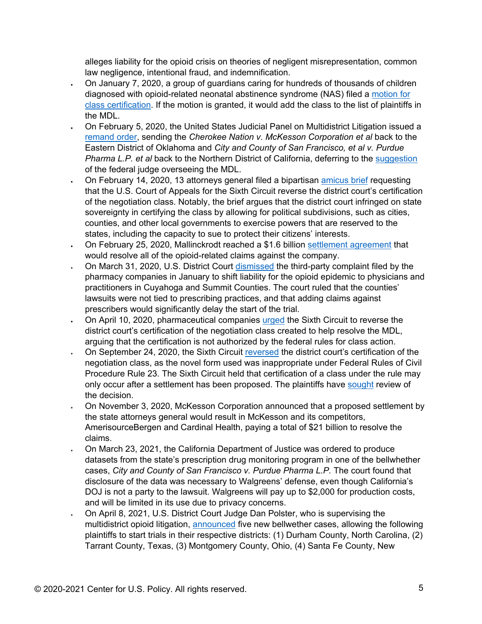alleges liability for the opioid crisis on theories of negligent misrepresentation, common law negligence, intentional fraud, and indemnification.

- On January 7, 2020, a group of guardians caring for hundreds of thousands of children diagnosed with opioid-related neonatal abstinence syndrome (NAS) filed a [motion for](https://www.cleveland.com/court-justice/2020/01/lawyers-for-babies-born-after-opioid-exposure-want-cleveland-judge-to-approve-class-action-against-drug-companies.html)  [class certification.](https://www.cleveland.com/court-justice/2020/01/lawyers-for-babies-born-after-opioid-exposure-want-cleveland-judge-to-approve-class-action-against-drug-companies.html) If the motion is granted, it would add the class to the list of plaintiffs in the MDL.
- On February 5, 2020, the United States Judicial Panel on Multidistrict Litigation issued a [remand order,](https://www.jpml.uscourts.gov/sites/jpml/files/MDL-2804-Remand_Order-1-20.pdf) sending the *Cherokee Nation v. McKesson Corporation et al* back to the Eastern District of Oklahoma and *City and County of San Francisco, et al v. Purdue Pharma L.P. et al* back to the Northern District of California, deferring to the [suggestion](https://www.ohnd.uscourts.gov/sites/ohnd/files/2941.pdf) of the federal judge overseeing the MDL.
- On February 14, 2020, 13 attorneys general filed a bipartisan [amicus brief](https://content.govdelivery.com/attachments/INAG/2020/02/18/file_attachments/1381491/19-4099_DocketEntry_02-14-2020_26.pdf) requesting that the U.S. Court of Appeals for the Sixth Circuit reverse the district court's certification of the negotiation class. Notably, the brief argues that the district court infringed on state sovereignty in certifying the class by allowing for political subdivisions, such as cities, counties, and other local governments to exercise powers that are reserved to the states, including the capacity to sue to protect their citizens' interests.
- On February 25, 2020, Mallinckrodt reached a \$1.6 billion [settlement agreement](https://advancingmnk.com/wp-content/uploads/2020/02/Settlement-Announcement-Press-Release.pdf) that would resolve all of the opioid-related claims against the company.
- On March 31, 2020, U.S. District Court [dismissed](https://www.nytimes.com/aponline/2020/04/01/business/bc-us-opioid-crisis-lawsuits.html) the third-party complaint filed by the pharmacy companies in January to shift liability for the opioid epidemic to physicians and practitioners in Cuyahoga and Summit Counties. The court ruled that the counties' lawsuits were not tied to prescribing practices, and that adding claims against prescribers would significantly delay the start of the trial.
- On April 10, 2020, pharmaceutical companies [urged](https://www.law360.com/health/articles/1262669/pharma-cos-slam-opioid-negotiation-class-at-6th-circ-) the Sixth Circuit to reverse the district court's certification of the negotiation class created to help resolve the MDL, arguing that the certification is not authorized by the federal rules for class action.
- On September 24, 2020, the Sixth Circuit [reversed](https://www.opn.ca6.uscourts.gov/opinions.pdf/20a0311p-06.pdf) the district court's certification of the negotiation class, as the novel form used was inappropriate under Federal Rules of Civil Procedure Rule 23. The Sixth Circuit held that certification of a class under the rule may only occur after a settlement has been proposed. The plaintiffs have [sought](https://www.jdsupra.com/legalnews/sixth-circuit-rejects-certification-of-21607/#:%7E:text=On%20September%2024%2C%202020%2C%20the,opposed%20to%20litigation%20or%20settlement.) review of the decision.
- On November 3, 2020, McKesson Corporation announced that a proposed settlement by the state attorneys general would result in McKesson and its competitors, AmerisourceBergen and Cardinal Health, paying a total of \$21 billion to resolve the claims.
- On March 23, 2021, the California Department of Justice was ordered to produce datasets from the state's prescription drug monitoring program in one of the bellwhether cases, *City and County of San Francisco v. Purdue Pharma L.P.* The court found that disclosure of the data was necessary to Walgreens' defense, even though California's DOJ is not a party to the lawsuit. Walgreens will pay up to \$2,000 for production costs, and will be limited in its use due to privacy concerns.
- On April 8, 2021, U.S. District Court Judge Dan Polster, who is supervising the multidistrict opioid litigation, [announced](https://www.law360.com/articles/1373167) five new bellwether cases, allowing the following plaintiffs to start trials in their respective districts: (1) Durham County, North Carolina, (2) Tarrant County, Texas, (3) Montgomery County, Ohio, (4) Santa Fe County, New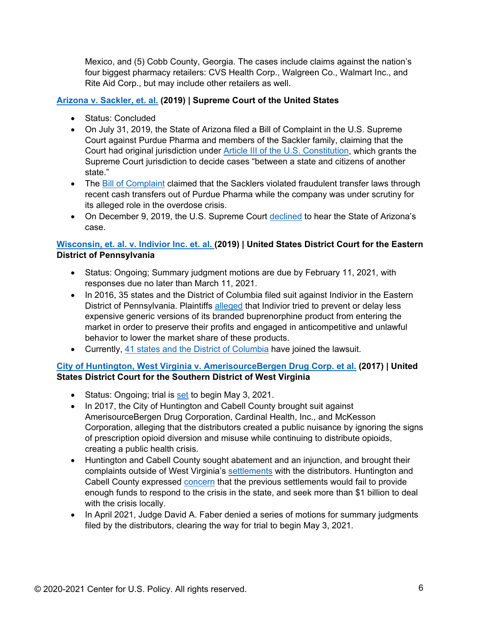Mexico, and (5) Cobb County, Georgia. The cases include claims against the nation's four biggest pharmacy retailers: CVS Health Corp., Walgreen Co., Walmart Inc., and Rite Aid Corp., but may include other retailers as well.

## **[Arizona v. Sackler, et. al.](https://www.supremecourt.gov/search.aspx?filename=/docket/docketfiles/html/public/22o151.html) (2019) | Supreme Court of the United States**

- Status: Concluded
- On July 31, 2019, the State of Arizona filed a Bill of Complaint in the U.S. Supreme Court against Purdue Pharma and members of the Sackler family, claiming that the Court had original jurisdiction under [Article III of the U.S. Constitution,](https://constitutioncenter.org/interactive-constitution/article/article-iii) which grants the Supreme Court jurisdiction to decide cases "between a state and citizens of another state."
- The [Bill of Complaint](https://www.azag.gov/sites/default/files/docs/press-releases/2019/complaints/Arizona_v_Sackler_et_al_FINAL.pdf) claimed that the Sacklers violated fraudulent transfer laws through recent cash transfers out of Purdue Pharma while the company was under scrutiny for its alleged role in the overdose crisis.
- On December 9, 2019, the U.S. Supreme Court [declined](https://nationalinterest.org/blog/buzz/supreme-court-denies-arizonas-plan-sue-sackler-family-opioid-crisis-103447) to hear the State of Arizona's case.

## **Wisconsin, et. [al. v. Indivior Inc. et. al.](https://www.courtlistener.com/docket/4584862/state-of-wisconsin-v-indivior-inc/?page=2) (2019) | United States District Court for the Eastern District of Pennsylvania**

- Status: Ongoing; Summary judgment motions are due by February 11, 2021, with responses due no later than March 11, 2021.
- In 2016, 35 states and the District of Columbia filed suit against Indivior in the Eastern District of Pennsylvania. Plaintiffs [alleged](https://www.oag.state.va.us/consumer-protection/files/Lawsuits/IndiviorSuboxoneComplaint-redacted.public_version.pdf) that Indivior tried to prevent or delay less expensive generic versions of its branded buprenorphine product from entering the market in order to preserve their profits and engaged in anticompetitive and unlawful behavior to lower the market share of these products.
- Currently, [41 states and the District of Columbia](https://www.concordmonitor.com/nh-ag-joins-massive-suit-against-drugmaker-that-manufactures-suboxone-6228703) have joined the lawsuit.

# **[City of Huntington, West Virginia v. AmerisourceBergen Drug Corp. et al.](https://www.docketbird.com/court-cases/City-of-Huntington-West-Virginia-et-al-v-AmerisourceBergen-Drug-Corporation-et-al/wvsd-3:2017-cv-01362) (2017) | United States District Court for the Southern District of West Virginia**

- Status: Ongoing; trial is [set](https://www.docketbird.com/court-documents/City-of-Huntington-West-Virginia-et-al-v-AmerisourceBergen-Drug-Corporation-et-al/MEMORANDUM-OPINION-AND-ORDER-setting-aside-the-following-dates-for-trial-as-more-fully-set-forth-herein-there-is-no-need-to-make-the-trial-proceedings-available-electronically-and-the-court-will-not-do-so-as-overflow-space-within-the-courthouse-wi-ll/wvsd-3:2017-cv-01362-01278) to begin May 3, 2021.
- In 2017, the City of Huntington and Cabell County brought suit against AmerisourceBergen Drug Corporation, Cardinal Health, Inc., and McKesson Corporation, alleging that the distributors created a public nuisance by ignoring the signs of prescription opioid diversion and misuse while continuing to distribute opioids, creating a public health crisis.
- Huntington and Cabell County sought abatement and an injunction, and brought their complaints outside of West Virginia's [settlements](https://www.reuters.com/article/us-usa-opioids-litigation/mckesson-to-pay-37-million-to-resolve-west-virginia-opioid-lawsuit-idUSKCN1S81HO) with the distributors. Huntington and Cabell County expressed [concern](https://www.wsj.com/articles/opioid-crisis-lawsuit-heads-for-rare-trial-in-west-virginia-11619960400) that the previous settlements would fail to provide enough funds to respond to the crisis in the state, and seek more than \$1 billion to deal with the crisis locally.
- In April 2021, Judge David A. Faber denied a series of motions for summary judgments filed by the distributors, clearing the way for trial to begin May 3, 2021.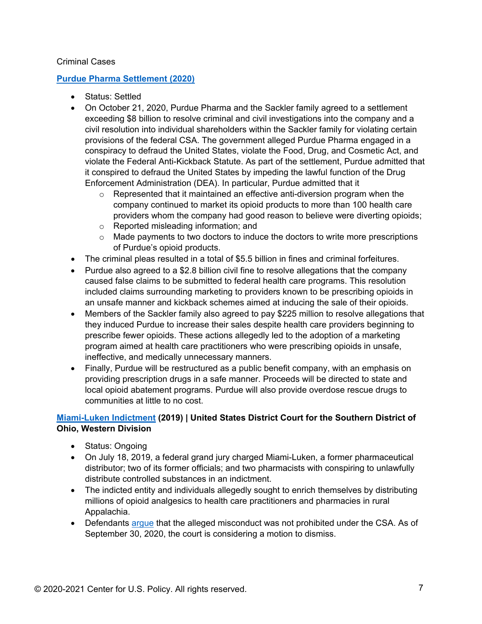### Criminal Cases

## **[Purdue Pharma Settlement \(2020\)](https://www.justice.gov/opa/pr/justice-department-announces-global-resolution-criminal-and-civil-investigations-opioid)**

- Status: Settled
- On October 21, 2020, Purdue Pharma and the Sackler family agreed to a settlement exceeding \$8 billion to resolve criminal and civil investigations into the company and a civil resolution into individual shareholders within the Sackler family for violating certain provisions of the federal CSA. The government alleged Purdue Pharma engaged in a conspiracy to defraud the United States, violate the Food, Drug, and Cosmetic Act, and violate the Federal Anti-Kickback Statute. As part of the settlement, Purdue admitted that it conspired to defraud the United States by impeding the lawful function of the Drug Enforcement Administration (DEA). In particular, Purdue admitted that it
	- $\circ$  Represented that it maintained an effective anti-diversion program when the company continued to market its opioid products to more than 100 health care providers whom the company had good reason to believe were diverting opioids;
	- o Reported misleading information; and
	- $\circ$  Made payments to two doctors to induce the doctors to write more prescriptions of Purdue's opioid products.
- The criminal pleas resulted in a total of \$5.5 billion in fines and criminal forfeitures.
- Purdue also agreed to a \$2.8 billion civil fine to resolve allegations that the company caused false claims to be submitted to federal health care programs. This resolution included claims surrounding marketing to providers known to be prescribing opioids in an unsafe manner and kickback schemes aimed at inducing the sale of their opioids.
- Members of the Sackler family also agreed to pay \$225 million to resolve allegations that they induced Purdue to increase their sales despite health care providers beginning to prescribe fewer opioids. These actions allegedly led to the adoption of a marketing program aimed at health care practitioners who were prescribing opioids in unsafe, ineffective, and medically unnecessary manners.
- Finally, Purdue will be restructured as a public benefit company, with an emphasis on providing prescription drugs in a safe manner. Proceeds will be directed to state and local opioid abatement programs. Purdue will also provide overdose rescue drugs to communities at little to no cost.

# **[Miami-Luken Indictment](https://www.justice.gov/usao-sdoh/pr/pharmaceutical-distributor-executives-pharmacists-charged-unlawfully-distributing) (2019) | United States District Court for the Southern District of Ohio, Western Division**

- Status: Ongoing
- On July 18, 2019, a federal grand jury charged Miami-Luken, a former pharmaceutical distributor; two of its former officials; and two pharmacists with conspiring to unlawfully distribute controlled substances in an indictment.
- The indicted entity and individuals allegedly sought to enrich themselves by distributing millions of opioid analgesics to health care practitioners and pharmacies in rural Appalachia.
- Defendants [argue](https://www.law360.com/articles/1321712/where-doj-s-opioid-blitz-stands-after-purdue-s-criminal-case) that the alleged misconduct was not prohibited under the CSA. As of September 30, 2020, the court is considering a motion to dismiss.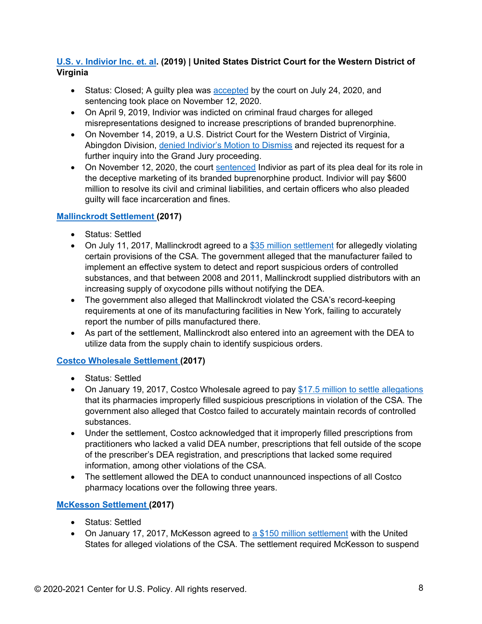# **U.S. [v. Indivior Inc. et.](https://www.justice.gov/opa/press-release/file/1153066/download) al. (2019) | United States District Court for the Western District of Virginia**

- Status: Closed; A guilty plea was **[accepted](https://www.justice.gov/opa/pr/indivior-solutions-pleads-guilty-felony-charge-and-indivior-entities-agree-pay-600-million)** by the court on July 24, 2020, and sentencing took place on November 12, 2020.
- On April 9, 2019, Indivior was indicted on criminal fraud charges for alleged misrepresentations designed to increase prescriptions of branded buprenorphine.
- On November 14, 2019, a U.S. District Court for the Western District of Virginia, Abingdon Division, [denied Indivior's Motion to Dismiss](https://news.bloomberglaw.com/health-law-and-business/indivior-loses-bid-to-toss-charges-over-popular-opioid-treatment) and rejected its request for a further inquiry into the Grand Jury proceeding.
- On November 12, 2020, the court [sentenced](https://www.justice.gov/opa/pr/indivior-solutions-sentenced-pay-289-million-criminal-penalties-unlawful-marketing-opioid) Indivior as part of its plea deal for its role in the deceptive marketing of its branded buprenorphine product. Indivior will pay \$600 million to resolve its civil and criminal liabilities, and certain officers who also pleaded guilty will face incarceration and fines.

# **[Mallinckrodt Settlement](https://www.justice.gov/opa/pr/mckesson-agrees-pay-record-150-million-settlement-failure-report-suspicious-orders) (2017)**

- Status: Settled
- On July 11, 2017, Mallinckrodt agreed to a [\\$35 million settlement](https://www.justice.gov/opa/pr/mallinckrodt-agrees-pay-record-35-million-settlement-failure-report-suspicious-orders) for allegedly violating certain provisions of the CSA. The government alleged that the manufacturer failed to implement an effective system to detect and report suspicious orders of controlled substances, and that between 2008 and 2011, Mallinckrodt supplied distributors with an increasing supply of oxycodone pills without notifying the DEA.
- The government also alleged that Mallinckrodt violated the CSA's record-keeping requirements at one of its manufacturing facilities in New York, failing to accurately report the number of pills manufactured there.
- As part of the settlement, Mallinckrodt also entered into an agreement with the DEA to utilize data from the supply chain to identify suspicious orders.

# **[Costco Wholesale Settlement](https://www.justice.gov/opa/pr/costco-wholesale-pay-1175-million-settle-allegations-lax-pharmacy-controls) (2017)**

- Status: Settled
- On January 19, 2017, Costco Wholesale agreed to pay [\\$17.5 million to settle allegations](https://www.justice.gov/opa/pr/costco-wholesale-pay-1175-million-settle-allegations-lax-pharmacy-controls) that its pharmacies improperly filled suspicious prescriptions in violation of the CSA. The government also alleged that Costco failed to accurately maintain records of controlled substances.
- Under the settlement, Costco acknowledged that it improperly filled prescriptions from practitioners who lacked a valid DEA number, prescriptions that fell outside of the scope of the prescriber's DEA registration, and prescriptions that lacked some required information, among other violations of the CSA.
- The settlement allowed the DEA to conduct unannounced inspections of all Costco pharmacy locations over the following three years.

# **[McKesson Settlement](https://www.justice.gov/opa/pr/mckesson-agrees-pay-record-150-million-settlement-failure-report-suspicious-orders) (2017)**

- Status: Settled
- On January 17, 2017, McKesson agreed to [a \\$150 million settlement](https://www.justice.gov/opa/pr/mckesson-agrees-pay-record-150-million-settlement-failure-report-suspicious-orders) with the United States for alleged violations of the CSA. The settlement required McKesson to suspend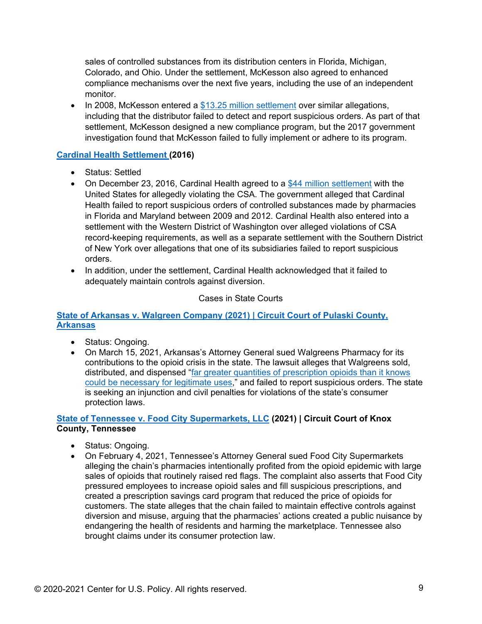sales of controlled substances from its distribution centers in Florida, Michigan, Colorado, and Ohio. Under the settlement, McKesson also agreed to enhanced compliance mechanisms over the next five years, including the use of an independent monitor.

• In 2008, McKesson entered a [\\$13.25 million settlement](https://netorg137842-my.sharepoint.com/personal/mshelton_dcbalaw_com/Documents/Meredith%20Files/CUSP/Designed%20Fact%20Sheets/CUSP%20Fact%20Sheets%20Word%20Docs/Litigation%20Trackers/justice.gov/archive/opa/pr/2008/May/08-opa-374.html) over similar allegations, including that the distributor failed to detect and report suspicious orders. As part of that settlement, McKesson designed a new compliance program, but the 2017 government investigation found that McKesson failed to fully implement or adhere to its program.

## **[Cardinal Health Settlement](https://www.justice.gov/usao-md/pr/cardinal-health-agrees-44-million-settlement-alleged-violations-controlled-substances-act) (2016)**

- Status: Settled
- On December 23, 2016, Cardinal Health agreed to a [\\$44 million settlement](https://www.justice.gov/usao-md/pr/cardinal-health-agrees-44-million-settlement-alleged-violations-controlled-substances-act) with the United States for allegedly violating the CSA. The government alleged that Cardinal Health failed to report suspicious orders of controlled substances made by pharmacies in Florida and Maryland between 2009 and 2012. Cardinal Health also entered into a settlement with the Western District of Washington over alleged violations of CSA record-keeping requirements, as well as a separate settlement with the Southern District of New York over allegations that one of its subsidiaries failed to report suspicious orders.
- In addition, under the settlement, Cardinal Health acknowledged that it failed to adequately maintain controls against diversion.

### Cases in State Courts

### **State of Arkansas v. Walgreen Company (2021) | Circuit Court of Pulaski County, Arkansas**

- Status: Ongoing.
- On March 15, 2021, Arkansas's Attorney General sued Walgreens Pharmacy for its contributions to the opioid crisis in the state. The lawsuit alleges that Walgreens sold, distributed, and dispensed ["far greater quantities of prescription opioids than it knows](https://arkansasag.gov/media-center/news-releases/attorney-general-rutledge-files-opioid-lawsuit-against-walgreens/)  [could be necessary for legitimate uses,](https://arkansasag.gov/media-center/news-releases/attorney-general-rutledge-files-opioid-lawsuit-against-walgreens/)" and failed to report suspicious orders. The state is seeking an injunction and civil penalties for violations of the state's consumer protection laws.

### **[State of Tennessee v. Food City Supermarkets, LLC](https://www.tn.gov/attorneygeneral/news/2021/2/4/pr21-06.html) (2021) | Circuit Court of Knox County, Tennessee**

- Status: Ongoing.
- On February 4, 2021, Tennessee's Attorney General sued Food City Supermarkets alleging the chain's pharmacies intentionally profited from the opioid epidemic with large sales of opioids that routinely raised red flags. The complaint also asserts that Food City pressured employees to increase opioid sales and fill suspicious prescriptions, and created a prescription savings card program that reduced the price of opioids for customers. The state alleges that the chain failed to maintain effective controls against diversion and misuse, arguing that the pharmacies' actions created a public nuisance by endangering the health of residents and harming the marketplace. Tennessee also brought claims under its consumer protection law.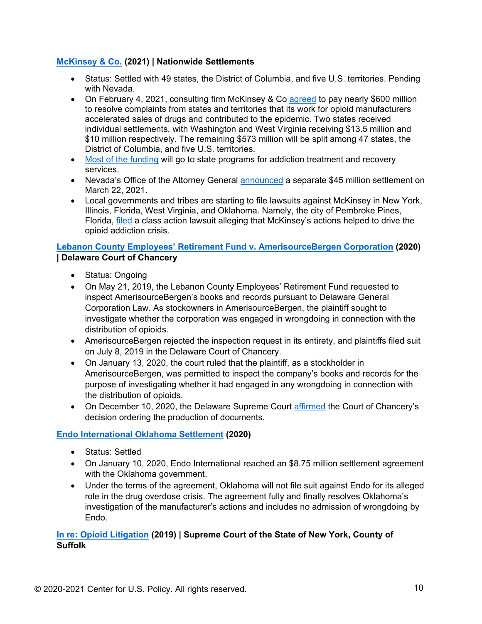## **[McKinsey & Co.](https://apnews.com/article/mckinsey-pay-600-million-opioid-crisis-067a1974efb31cd23809513c632ceca2) (2021) | Nationwide Settlements**

- Status: Settled with 49 states, the District of Columbia, and five U.S. territories. Pending with Nevada.
- On February 4, 2021, consulting firm McKinsey & Co [agreed](https://apnews.com/article/mckinsey-pay-600-million-opioid-crisis-067a1974efb31cd23809513c632ceca2) to pay nearly \$600 million to resolve complaints from states and territories that its work for opioid manufacturers accelerated sales of drugs and contributed to the epidemic. Two states received individual settlements, with Washington and West Virginia receiving \$13.5 million and \$10 million respectively. The remaining \$573 million will be split among 47 states, the District of Columbia, and five U.S. territories.
- [Most of the funding](https://www.nbcnews.com/news/us-news/consulting-giant-mckinsey-allegedly-fed-opioid-crisis-now-affiliate-may-n1256969) will go to state programs for addiction treatment and recovery services.
- Nevada's Office of the Attorney General [announced](https://abcnews.go.com/Health/wireStory/nevada-announces-45m-settlement-mckinsey-opioids-76611637) a separate \$45 million settlement on March 22, 2021.
- Local governments and tribes are starting to file lawsuits against McKinsey in New York, Illinois, Florida, West Virginia, and Oklahoma. Namely, the city of Pembroke Pines, Florida, [filed](https://thecapitolist.com/after-opioid-settlement-with-state-mckinsey-socked-with-new-class-action-lawsuit-filed-by-local-florida-government/) a class action lawsuit alleging that McKinsey's actions helped to drive the opioid addiction crisis.

## **[Lebanon County Employees' Retirement Fund v. AmerisourceBergen Corporation](https://courts.delaware.gov/Opinions/Download.aspx?id=300360) (2020) | Delaware Court of Chancery**

- Status: Ongoing
- On May 21, 2019, the Lebanon County Employees' Retirement Fund requested to inspect AmerisourceBergen's books and records pursuant to Delaware General Corporation Law. As stockowners in AmerisourceBergen, the plaintiff sought to investigate whether the corporation was engaged in wrongdoing in connection with the distribution of opioids.
- AmerisourceBergen rejected the inspection request in its entirety, and plaintiffs filed suit on July 8, 2019 in the Delaware Court of Chancery.
- On January 13, 2020, the court ruled that the plaintiff, as a stockholder in AmerisourceBergen, was permitted to inspect the company's books and records for the purpose of investigating whether it had engaged in any wrongdoing in connection with the distribution of opioids.
- On December 10, 2020, the Delaware Supreme Court [affirmed](https://law.justia.com/cases/delaware/supreme-court/2020/60-2020.html) the Court of Chancery's decision ordering the production of documents.

### **[Endo International Oklahoma Settlement](https://oag.publishpath.com/Websites/oag/images/Executed%20Endo%20Oklahoma%20Settlement%20Agreement.pdf) (2020)**

- Status: Settled
- On January 10, 2020, Endo International reached an \$8.75 million settlement agreement with the Oklahoma government.
- Under the terms of the agreement, Oklahoma will not file suit against Endo for its alleged role in the drug overdose crisis. The agreement fully and finally resolves Oklahoma's investigation of the manufacturer's actions and includes no admission of wrongdoing by Endo.

## **In re: [Opioid Litigation](https://ag.ny.gov/sites/default/files/oag_opioid_lawsuit.pdf) (2019) | Supreme Court of the State of New York, County of Suffolk**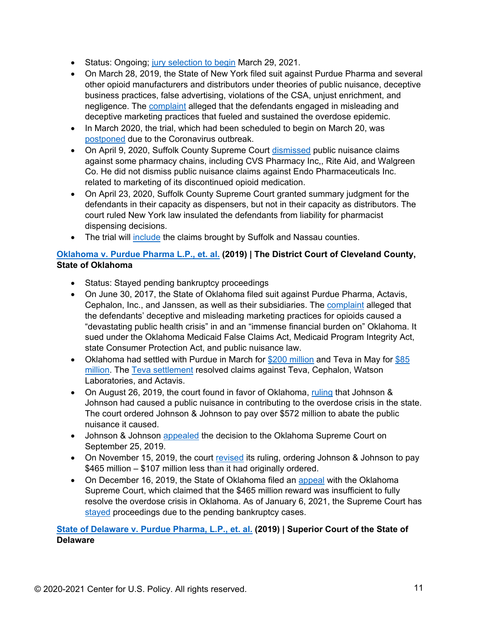- Status: Ongoing; [jury selection to begin](https://www.law360.com/health/articles/1357332/ny-ag-opioid-trial-gets-march-start-after-covid-19-delays) March 29, 2021.
- On March 28, 2019, the State of New York filed suit against Purdue Pharma and several other opioid manufacturers and distributors under theories of public nuisance, deceptive business practices, false advertising, violations of the CSA, unjust enrichment, and negligence. The [complaint](https://ag.ny.gov/sites/default/files/oag_opioid_lawsuit.pdf) alleged that the defendants engaged in misleading and deceptive marketing practices that fueled and sustained the overdose epidemic.
- In March 2020, the trial, which had been scheduled to begin on March 20, was [postponed](https://www.reuters.com/article/us-usa-opioids-litigation/closely-watched-opioid-trial-in-new-york-postponed-due-to-coronavirus-idUSKBN20X2TB) due to the Coronavirus outbreak.
- On April 9, 2020, Suffolk County Supreme Court [dismissed](https://www.law360.com/health/articles/1262383/some-public-nuisance-claims-cut-in-ny-opioid-suit) public nuisance claims against some pharmacy chains, including CVS Pharmacy Inc,, Rite Aid, and Walgreen Co. He did not dismiss public nuisance claims against Endo Pharmaceuticals Inc. related to marketing of its discontinued opioid medication.
- On April 23, 2020, Suffolk County Supreme Court granted summary judgment for the defendants in their capacity as dispensers, but not in their capacity as distributors. The court ruled New York law insulated the defendants from liability for pharmacist dispensing decisions.
- The trial will [include](https://www.law360.com/health/articles/1357332/ny-ag-opioid-trial-gets-march-start-after-covid-19-delays) the claims brought by Suffolk and Nassau counties.

## **[Oklahoma v. Purdue Pharma L.P., et. al.](https://www.cnn.com/2019/08/26/health/oklahoma-opioid-trial-verdict-bn/index.html) (2019) | The District Court of Cleveland County, State of Oklahoma**

- Status: Stayed pending bankruptcy proceedings
- On June 30, 2017, the State of Oklahoma filed suit against Purdue Pharma, Actavis, Cephalon, Inc., and Janssen, as well as their subsidiaries. The [complaint](https://s3.amazonaws.com/content.newsok.com/documents/1037086440-20170630-122306-.pdf) alleged that the defendants' deceptive and misleading marketing practices for opioids caused a "devastating public health crisis" in and an "immense financial burden on" Oklahoma. It sued under the Oklahoma Medicaid False Claims Act, Medicaid Program Integrity Act, state Consumer Protection Act, and public nuisance law.
- Oklahoma had settled with Purdue in March for \$200 [million](https://www.cnn.com/2019/03/26/health/purdue-pharma-oklahoma-opioid-lawsuit-settlement-bn/index.html) and Teva in May for [\\$85](https://www.cnn.com/2019/05/26/health/drugmaker-teva-to-pay-85-million-to-settle-oklahoma-opioid-lawsuit/index.html)  [million.](https://www.cnn.com/2019/05/26/health/drugmaker-teva-to-pay-85-million-to-settle-oklahoma-opioid-lawsuit/index.html) The [Teva settlement](http://www.oag.ok.gov/attorney-general-hunter-announces-settlement-with-teva-pharmaceuticals) resolved claims against Teva, Cephalon, Watson Laboratories, and Actavis.
- On August 26, 2019, the court found in favor of Oklahoma, [ruling](https://www.cnn.com/2019/08/26/health/oklahoma-opioid-trial-verdict-bn/index.html) that Johnson & Johnson had caused a public nuisance in contributing to the overdose crisis in the state. The court ordered Johnson & Johnson to pay over \$572 million to abate the public nuisance it caused.
- Johnson & Johnson [appealed](https://apnews.com/deff69fe44694b90a2d52fabd9bbdb47) the decision to the Oklahoma Supreme Court on September 25, 2019.
- On November 15, 2019, the court [revised](https://www.npr.org/2019/11/15/779439374/oklahoma-judge-shaves-107-million-off-opioid-decision-against-johnson-johnson) its ruling, ordering Johnson & Johnson to pay \$465 million – \$107 million less than it had originally ordered.
- On December 16, 2019, the State of Oklahoma filed an [appeal](https://oklahoman.com/article/5650054/state-appeals-opioid-verdict-claiming-465-million-award-is-not-enough) with the Oklahoma Supreme Court, which claimed that the \$465 million reward was insufficient to fully resolve the overdose crisis in Oklahoma. As of January 6, 2021, the Supreme Court has [stayed](https://www.oscn.net/dockets/GetCaseInformation.aspx?db=cleveland&number=CJ-2017-816&cmid=2266216) proceedings due to the pending bankruptcy cases.

**[State of Delaware v. Purdue Pharma, L.P., et.](https://apnews.com/b7a5914a267670d842da811f36773551) al. (2019) | Superior Court of the State of Delaware**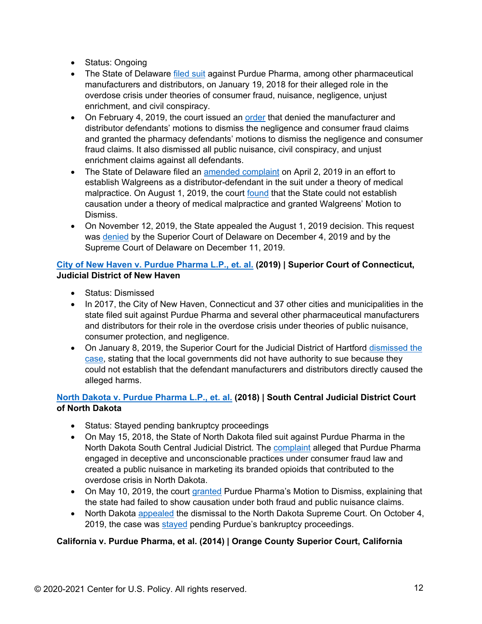- Status: Ongoing
- The State of Delaware [filed suit](https://www.delawareonline.com/story/news/local/heroindelaware/2018/01/19/ag-matt-denn-takes-big-pharma-opioid-lawsuit/1046672001/) against Purdue Pharma, among other pharmaceutical manufacturers and distributors, on January 19, 2018 for their alleged role in the overdose crisis under theories of consumer fraud, nuisance, negligence, unjust enrichment, and civil conspiracy.
- On February 4, 2019, the court issued an [order](https://www.delawareonline.com/story/news/local/heroindelaware/2019/02/13/judge-dismisses-some-delawares-claims-big-pharma-lawsuit/2845833002/) that denied the manufacturer and distributor defendants' motions to dismiss the negligence and consumer fraud claims and granted the pharmacy defendants' motions to dismiss the negligence and consumer fraud claims. It also dismissed all public nuisance, civil conspiracy, and unjust enrichment claims against all defendants.
- The State of Delaware filed an [amended complaint](https://news.delaware.gov/2019/04/10/wo/?fbclid=IwAR0jlatA_hmp8W2LtSSn7NSMHLD38HG4g6PihHkKQx9z-sEO2OTVk329hC0) on April 2, 2019 in an effort to establish Walgreens as a distributor-defendant in the suit under a theory of medical malpractice. On August 1, 2019, the court [found](https://courts.delaware.gov/Opinions/Download.aspx?id=299270) that the State could not establish causation under a theory of medical malpractice and granted Walgreens' Motion to Dismiss.
- On November 12, 2019, the State appealed the August 1, 2019 decision. This request was [denied](https://courts.delaware.gov/Opinions/Download.aspx?id=299270) by the Superior Court of Delaware on December 4, 2019 and by the Supreme Court of Delaware on December 11, 2019.

# **[City of New Haven v. Purdue Pharma L.P., et.](https://tribwtic.files.wordpress.com/2017/11/pharma-complaint-new-haven.pdf) al. (2019) | Superior Court of Connecticut, Judicial District of New Haven**

- Status: Dismissed
- In 2017, the City of New Haven, Connecticut and 37 other cities and municipalities in the state filed suit against Purdue Pharma and several other pharmaceutical manufacturers and distributors for their role in the overdose crisis under theories of public nuisance, consumer protection, and negligence.
- On January 8, 2019, the Superior Court for the Judicial District of Hartford [dismissed the](https://www.courthousenews.com/wp-content/uploads/2019/01/purdue-ct.pdf)  [case,](https://www.courthousenews.com/wp-content/uploads/2019/01/purdue-ct.pdf) stating that the local governments did not have authority to sue because they could not establish that the defendant manufacturers and distributors directly caused the alleged harms.

# **[North Dakota v. Purdue Pharma L.P., et. al.](https://attorneygeneral.nd.gov/news/north-dakota-sues-purdue-pharma-deceptive-promotion-opioids) (2018) | South Central Judicial District Court of North Dakota**

- Status: Stayed pending bankruptcy proceedings
- On May 15, 2018, the State of North Dakota filed suit against Purdue Pharma in the North Dakota South Central Judicial District. The [complaint](https://attorneygeneral.nd.gov/sites/ag/files/documents/MediaAttachments/2018-05-15-Complaint-Purdue.pdf) alleged that Purdue Pharma engaged in deceptive and unconscionable practices under consumer fraud law and created a public nuisance in marketing its branded opioids that contributed to the overdose crisis in North Dakota.
- On May 10, 2019, the court [granted](https://jnswire.s3.amazonaws.com/jns-media/55/4b/1290617/VOGEL3651977v1Filed__Order_Granting_Defs__Motion_to_Dismiss.pdf) Purdue Pharma's Motion to Dismiss, explaining that the state had failed to show causation under both fraud and public nuisance claims.
- North Dakota [appealed](https://www.grandforksherald.com/news/crime-and-courts/4602646-Appeal-filed-in-Supreme-Court-for-North-Dakotas-opioid-lawsuit) the dismissal to the North Dakota Supreme Court. On October 4, 2019, the case was [stayed](https://www.ndcourts.gov/supreme-court/dockets/20190237) pending Purdue's bankruptcy proceedings.

# **California v. Purdue Pharma, et al. (2014) | Orange County Superior Court, California**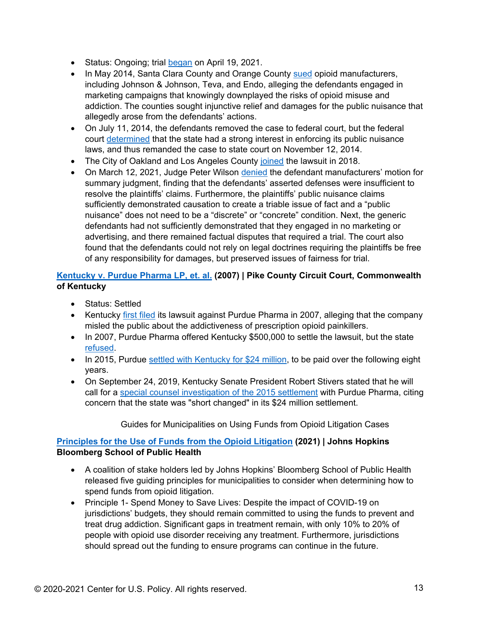- Status: Ongoing; trial **began** on April 19, 2021.
- In May 2014, Santa Clara County and Orange County [sued](https://counsel.sccgov.org/sites/g/files/exjcpb426/files/20180608-6th_Amended_Complaint.pdf) opioid manufacturers, including Johnson & Johnson, Teva, and Endo, alleging the defendants engaged in marketing campaigns that knowingly downplayed the risks of opioid misuse and addiction. The counties sought injunctive relief and damages for the public nuisance that allegedly arose from the defendants' actions.
- On July 11, 2014, the defendants removed the case to federal court, but the federal court [determined](https://docs.justia.com/cases/federal/district-courts/california/cacdce/8:2014cv01080/594210/51) that the state had a strong interest in enforcing its public nuisance laws, and thus remanded the case to state court on November 12, 2014.
- The City of Oakland and Los Angeles County [joined](https://www.sccgov.org/sites/opa/newsroom/Pages/Court-Ruling-Clears-the-Way-for-April-Trial-Against-Opioid-Manufacturers.aspx) the lawsuit in 2018.
- On March 12, 2021, Judge Peter Wilson [denied](https://www.sccgov.org/sites/opa/Documents/2021.03.12%20Opioids%20Order%20re%20MSJs.pdf) the defendant manufacturers' motion for summary judgment, finding that the defendants' asserted defenses were insufficient to resolve the plaintiffs' claims. Furthermore, the plaintiffs' public nuisance claims sufficiently demonstrated causation to create a triable issue of fact and a "public nuisance" does not need to be a "discrete" or "concrete" condition. Next, the generic defendants had not sufficiently demonstrated that they engaged in no marketing or advertising, and there remained factual disputes that required a trial. The court also found that the defendants could not rely on legal doctrines requiring the plaintiffs be free of any responsibility for damages, but preserved issues of fairness for trial.

# **[Kentucky v. Purdue Pharma LP, et. al.](https://www.courier-journal.com/story/news/politics/2019/09/24/kentucky-purdue-pharma-settlement-stivers-call-investigation/2432455001/) (2007) | Pike County Circuit Court, Commonwealth of Kentucky**

- Status: Settled
- Kentucky [first filed](https://www.cbsnews.com/news/kentucky-settles-lawsuit-with-oxycontin-maker-for-24-million/) its lawsuit against Purdue Pharma in 2007, alleging that the company misled the public about the addictiveness of prescription opioid painkillers.
- In 2007, Purdue Pharma offered Kentucky \$500,000 to settle the lawsuit, but the state [refused.](https://www.cbsnews.com/news/kentucky-settles-lawsuit-with-oxycontin-maker-for-24-million/)
- In 2015, Purdue [settled with Kentucky for \\$24 million,](https://www.cbsnews.com/news/kentucky-settles-lawsuit-with-oxycontin-maker-for-24-million/) to be paid over the following eight years.
- On September 24, 2019, Kentucky Senate President Robert Stivers stated that he will call for a [special counsel investigation of the 2015 settlement](https://www.courier-journal.com/story/news/politics/2019/09/24/kentucky-purdue-pharma-settlement-stivers-call-investigation/2432455001/) with Purdue Pharma, citing concern that the state was "short changed" in its \$24 million settlement.

Guides for Municipalities on Using Funds from Opioid Litigation Cases

# **[Principles for the Use of Funds from the Opioid Litigation](https://opioidprinciples.jhsph.edu/wp-content/uploads/2021/01/Litigation-Principles.pdf) (2021) | Johns Hopkins Bloomberg School of Public Health**

- A coalition of stake holders led by Johns Hopkins' Bloomberg School of Public Health released five guiding principles for municipalities to consider when determining how to spend funds from opioid litigation.
- Principle 1- Spend Money to Save Lives: Despite the impact of COVID-19 on jurisdictions' budgets, they should remain committed to using the funds to prevent and treat drug addiction. Significant gaps in treatment remain, with only 10% to 20% of people with opioid use disorder receiving any treatment. Furthermore, jurisdictions should spread out the funding to ensure programs can continue in the future.